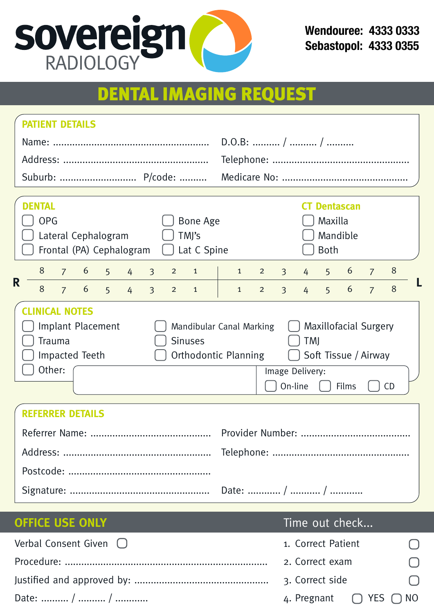

**Wendouree: 4333 0333 Sebastopol: 4333 0355**

# DENTAL IMAGING REQUEST

| <b>PATIENT DETAILS</b>                                                                                                                                                                                                                                                                                     |                                                                                                                  |  |  |  |  |  |  |
|------------------------------------------------------------------------------------------------------------------------------------------------------------------------------------------------------------------------------------------------------------------------------------------------------------|------------------------------------------------------------------------------------------------------------------|--|--|--|--|--|--|
|                                                                                                                                                                                                                                                                                                            | $D.O.B:$ /  /                                                                                                    |  |  |  |  |  |  |
|                                                                                                                                                                                                                                                                                                            |                                                                                                                  |  |  |  |  |  |  |
|                                                                                                                                                                                                                                                                                                            |                                                                                                                  |  |  |  |  |  |  |
| <b>DENTAL</b><br><b>OPG</b><br>Bone Age<br>Lateral Cephalogram<br>TMI's<br>Frontal (PA) Cephalogram<br>Lat C Spine                                                                                                                                                                                         | <b>CT Dentascan</b><br>Maxilla<br>Mandible<br>Both                                                               |  |  |  |  |  |  |
| 8<br>$7^{\circ}$<br>6<br>5 <sup>7</sup><br>$3^{\circ}$<br>$2^{\circ}$<br>$\mathbf{1}$<br>$4 \quad$                                                                                                                                                                                                         | $5\quad 6$<br>8<br>$1 \quad$<br>3 <sup>7</sup><br>$2^{\circ}$<br>$4\overline{ }$<br>$\overline{7}$               |  |  |  |  |  |  |
| R<br>$6 \quad 5 \quad 4$<br>8<br>$\overline{3}$<br>$7^{\circ}$<br>$2^{\circ}$<br>$\mathbf{1}$                                                                                                                                                                                                              | 6<br>8<br>$\overline{3}$<br>$\overline{7}$<br>5 <sup>7</sup><br>$\mathbf{1}$<br>$\overline{2}$<br>4 <sup>1</sup> |  |  |  |  |  |  |
| <b>CLINICAL NOTES</b><br>Implant Placement<br><b>Maxillofacial Surgery</b><br>Mandibular Canal Marking<br>$\mathbf{1}$<br>Trauma<br><b>Sinuses</b><br><b>TMJ</b><br>Orthodontic Planning<br>Soft Tissue / Airway<br>Impacted Teeth<br>$\Box$<br>Other:<br>Image Delivery:<br>On-line<br>Films<br><b>CD</b> |                                                                                                                  |  |  |  |  |  |  |
| <b>REFERRER DETAILS</b>                                                                                                                                                                                                                                                                                    |                                                                                                                  |  |  |  |  |  |  |
|                                                                                                                                                                                                                                                                                                            |                                                                                                                  |  |  |  |  |  |  |
|                                                                                                                                                                                                                                                                                                            |                                                                                                                  |  |  |  |  |  |  |
|                                                                                                                                                                                                                                                                                                            |                                                                                                                  |  |  |  |  |  |  |

## **OFFICE USE ONLY Time out check...**

| Verbal Consent Given $\bigcirc$ | 1. Correct Patient                     | $\Box$ |
|---------------------------------|----------------------------------------|--------|
|                                 | 2. Correct exam                        | $\Box$ |
|                                 | 3. Correct side                        | $\Box$ |
|                                 | 4. Pregnant $\bigcap$ YES $\bigcap$ NO |        |